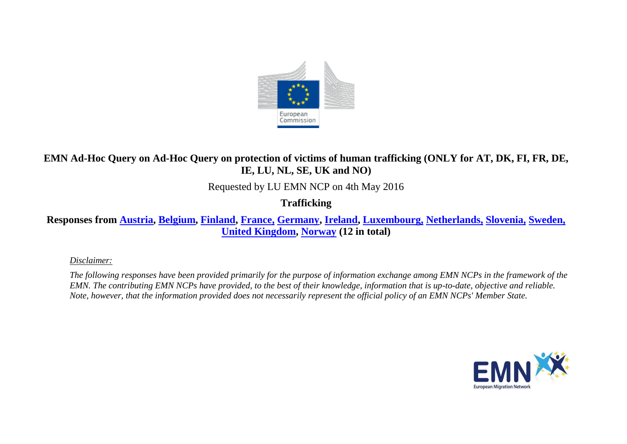

## **EMN Ad-Hoc Query on Ad-Hoc Query on protection of victims of human trafficking (ONLY for AT, DK, FI, FR, DE, IE, LU, NL, SE, UK and NO)**

Requested by LU EMN NCP on 4th May 2016

**Trafficking**

**Responses from [Austria,](#page-2-0) [Belgium,](#page-2-1) [Finland,](#page-5-0) [France,](#page-6-0) [Germany,](#page-7-0) [Ireland,](#page-8-0) [Luxembourg,](#page-8-1) [Netherlands,](#page-9-0) [Slovenia,](#page-10-0) [Sweden,](#page-13-0) [United Kingdom,](#page-14-0) [Norway](#page-16-0) (12 in total)**

*Disclaimer:* 

*The following responses have been provided primarily for the purpose of information exchange among EMN NCPs in the framework of the EMN. The contributing EMN NCPs have provided, to the best of their knowledge, information that is up-to-date, objective and reliable. Note, however, that the information provided does not necessarily represent the official policy of an EMN NCPs' Member State.*

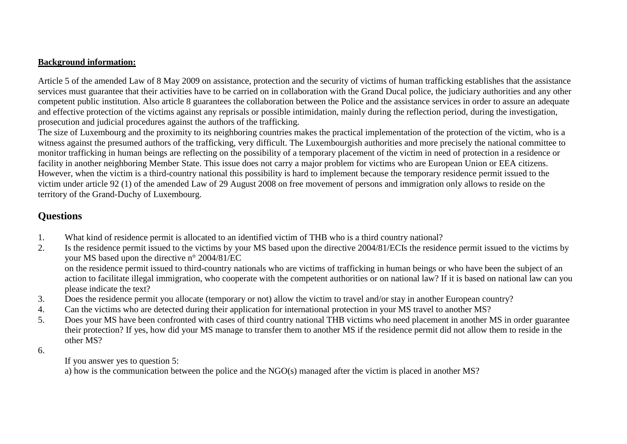## **Background information:**

Article 5 of the amended Law of 8 May 2009 on assistance, protection and the security of victims of human trafficking establishes that the assistance services must guarantee that their activities have to be carried on in collaboration with the Grand Ducal police, the judiciary authorities and any other competent public institution. Also article 8 guarantees the collaboration between the Police and the assistance services in order to assure an adequate and effective protection of the victims against any reprisals or possible intimidation, mainly during the reflection period, during the investigation, prosecution and judicial procedures against the authors of the trafficking.

The size of Luxembourg and the proximity to its neighboring countries makes the practical implementation of the protection of the victim, who is a witness against the presumed authors of the trafficking, very difficult. The Luxembourgish authorities and more precisely the national committee to monitor trafficking in human beings are reflecting on the possibility of a temporary placement of the victim in need of protection in a residence or facility in another neighboring Member State. This issue does not carry a major problem for victims who are European Union or EEA citizens. However, when the victim is a third-country national this possibility is hard to implement because the temporary residence permit issued to the victim under article 92 (1) of the amended Law of 29 August 2008 on free movement of persons and immigration only allows to reside on the territory of the Grand-Duchy of Luxembourg.

## **Questions**

- 1. What kind of residence permit is allocated to an identified victim of THB who is a third country national?
- 2. Is the residence permit issued to the victims by your MS based upon the directive 2004/81/ECIs the residence permit issued to the victims by your MS based upon the directive n° 2004/81/EC on the residence permit issued to third-country nationals who are victims of trafficking in human beings or who have been the subject of an action to facilitate illegal immigration, who cooperate with the competent authorities or on national law? If it is based on national law can you please indicate the text?
- 3. Does the residence permit you allocate (temporary or not) allow the victim to travel and/or stay in another European country?
- 4. Can the victims who are detected during their application for international protection in your MS travel to another MS?
- 5. Does your MS have been confronted with cases of third country national THB victims who need placement in another MS in order guarantee their protection? If yes, how did your MS manage to transfer them to another MS if the residence permit did not allow them to reside in the other MS?
- 6.

If you answer yes to question 5:

a) how is the communication between the police and the NGO(s) managed after the victim is placed in another MS?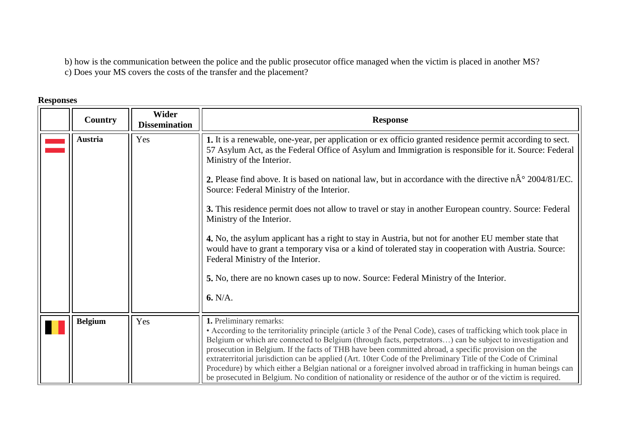b) how is the communication between the police and the public prosecutor office managed when the victim is placed in another MS? c) Does your MS covers the costs of the transfer and the placement?

## **Responses**

<span id="page-2-1"></span><span id="page-2-0"></span>

| Country        | Wider<br><b>Dissemination</b> | <b>Response</b>                                                                                                                                                                                                                                                                                                                                                                                                                                                                                                                                                                                                                                                                                                             |
|----------------|-------------------------------|-----------------------------------------------------------------------------------------------------------------------------------------------------------------------------------------------------------------------------------------------------------------------------------------------------------------------------------------------------------------------------------------------------------------------------------------------------------------------------------------------------------------------------------------------------------------------------------------------------------------------------------------------------------------------------------------------------------------------------|
| <b>Austria</b> | Yes                           | 1. It is a renewable, one-year, per application or ex officio granted residence permit according to sect.<br>57 Asylum Act, as the Federal Office of Asylum and Immigration is responsible for it. Source: Federal<br>Ministry of the Interior.                                                                                                                                                                                                                                                                                                                                                                                                                                                                             |
|                |                               | 2. Please find above. It is based on national law, but in accordance with the directive $n\hat{A}^{\circ}$ 2004/81/EC.<br>Source: Federal Ministry of the Interior.                                                                                                                                                                                                                                                                                                                                                                                                                                                                                                                                                         |
|                |                               | 3. This residence permit does not allow to travel or stay in another European country. Source: Federal<br>Ministry of the Interior.                                                                                                                                                                                                                                                                                                                                                                                                                                                                                                                                                                                         |
|                |                               | 4. No, the asylum applicant has a right to stay in Austria, but not for another EU member state that<br>would have to grant a temporary visa or a kind of tolerated stay in cooperation with Austria. Source:<br>Federal Ministry of the Interior.                                                                                                                                                                                                                                                                                                                                                                                                                                                                          |
|                |                               | 5. No, there are no known cases up to now. Source: Federal Ministry of the Interior.                                                                                                                                                                                                                                                                                                                                                                                                                                                                                                                                                                                                                                        |
|                |                               | 6. N/A.                                                                                                                                                                                                                                                                                                                                                                                                                                                                                                                                                                                                                                                                                                                     |
| <b>Belgium</b> | Yes                           | 1. Preliminary remarks:<br>• According to the territoriality principle (article 3 of the Penal Code), cases of trafficking which took place in<br>Belgium or which are connected to Belgium (through facts, perpetrators) can be subject to investigation and<br>prosecution in Belgium. If the facts of THB have been committed abroad, a specific provision on the<br>extraterritorial jurisdiction can be applied (Art. 10ter Code of the Preliminary Title of the Code of Criminal<br>Procedure) by which either a Belgian national or a foreigner involved abroad in trafficking in human beings can<br>be prosecuted in Belgium. No condition of nationality or residence of the author or of the victim is required. |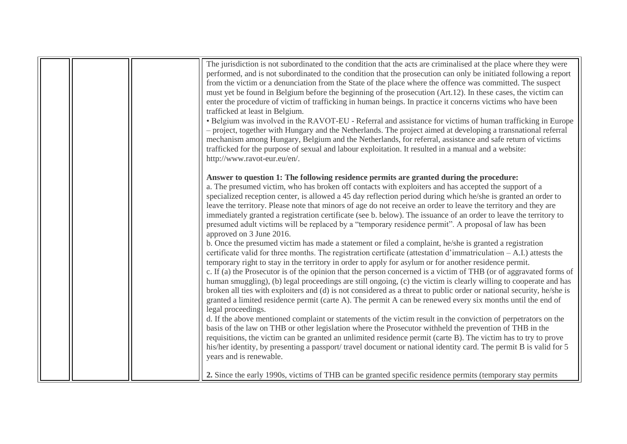| The jurisdiction is not subordinated to the condition that the acts are criminalised at the place where they were<br>performed, and is not subordinated to the condition that the prosecution can only be initiated following a report<br>from the victim or a denunciation from the State of the place where the offence was committed. The suspect<br>must yet be found in Belgium before the beginning of the prosecution (Art.12). In these cases, the victim can<br>enter the procedure of victim of trafficking in human beings. In practice it concerns victims who have been<br>trafficked at least in Belgium.<br>• Belgium was involved in the RAVOT-EU - Referral and assistance for victims of human trafficking in Europe<br>- project, together with Hungary and the Netherlands. The project aimed at developing a transnational referral<br>mechanism among Hungary, Belgium and the Netherlands, for referral, assistance and safe return of victims<br>trafficked for the purpose of sexual and labour exploitation. It resulted in a manual and a website:<br>http://www.ravot-eur.eu/en/.                                                                                                                                                                                                                                                                                                                                                                                                                                                                                                                                                                                                                                                                                                                                                                                                                                                                                                                                                                                                                                                          |
|------------------------------------------------------------------------------------------------------------------------------------------------------------------------------------------------------------------------------------------------------------------------------------------------------------------------------------------------------------------------------------------------------------------------------------------------------------------------------------------------------------------------------------------------------------------------------------------------------------------------------------------------------------------------------------------------------------------------------------------------------------------------------------------------------------------------------------------------------------------------------------------------------------------------------------------------------------------------------------------------------------------------------------------------------------------------------------------------------------------------------------------------------------------------------------------------------------------------------------------------------------------------------------------------------------------------------------------------------------------------------------------------------------------------------------------------------------------------------------------------------------------------------------------------------------------------------------------------------------------------------------------------------------------------------------------------------------------------------------------------------------------------------------------------------------------------------------------------------------------------------------------------------------------------------------------------------------------------------------------------------------------------------------------------------------------------------------------------------------------------------------------------------------------------|
| Answer to question 1: The following residence permits are granted during the procedure:<br>a. The presumed victim, who has broken off contacts with exploiters and has accepted the support of a<br>specialized reception center, is allowed a 45 day reflection period during which he/she is granted an order to<br>leave the territory. Please note that minors of age do not receive an order to leave the territory and they are<br>immediately granted a registration certificate (see b. below). The issuance of an order to leave the territory to<br>presumed adult victims will be replaced by a "temporary residence permit". A proposal of law has been<br>approved on 3 June 2016.<br>b. Once the presumed victim has made a statement or filed a complaint, he/she is granted a registration<br>certificate valid for three months. The registration certificate (attestation d'immatriculation $-A.I.$ ) attests the<br>temporary right to stay in the territory in order to apply for asylum or for another residence permit.<br>c. If (a) the Prosecutor is of the opinion that the person concerned is a victim of THB (or of aggravated forms of<br>human smuggling), (b) legal proceedings are still ongoing, (c) the victim is clearly willing to cooperate and has<br>broken all ties with exploiters and (d) is not considered as a threat to public order or national security, he/she is<br>granted a limited residence permit (carte A). The permit A can be renewed every six months until the end of<br>legal proceedings.<br>d. If the above mentioned complaint or statements of the victim result in the conviction of perpetrators on the<br>basis of the law on THB or other legislation where the Prosecutor withheld the prevention of THB in the<br>requisitions, the victim can be granted an unlimited residence permit (carte B). The victim has to try to prove<br>his/her identity, by presenting a passport/ travel document or national identity card. The permit B is valid for 5<br>years and is renewable.<br>2. Since the early 1990s, victims of THB can be granted specific residence permits (temporary stay permits |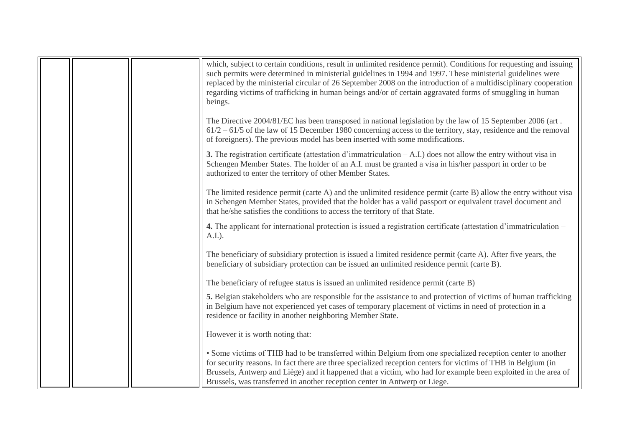|  | which, subject to certain conditions, result in unlimited residence permit). Conditions for requesting and issuing<br>such permits were determined in ministerial guidelines in 1994 and 1997. These ministerial guidelines were<br>replaced by the ministerial circular of 26 September 2008 on the introduction of a multidisciplinary cooperation<br>regarding victims of trafficking in human beings and/or of certain aggravated forms of smuggling in human<br>beings. |
|--|------------------------------------------------------------------------------------------------------------------------------------------------------------------------------------------------------------------------------------------------------------------------------------------------------------------------------------------------------------------------------------------------------------------------------------------------------------------------------|
|  | The Directive 2004/81/EC has been transposed in national legislation by the law of 15 September 2006 (art.<br>$61/2 - 61/5$ of the law of 15 December 1980 concerning access to the territory, stay, residence and the removal<br>of foreigners). The previous model has been inserted with some modifications.                                                                                                                                                              |
|  | <b>3.</b> The registration certificate (attestation d'immatriculation $-A.I$ ) does not allow the entry without visa in<br>Schengen Member States. The holder of an A.I. must be granted a visa in his/her passport in order to be<br>authorized to enter the territory of other Member States.                                                                                                                                                                              |
|  | The limited residence permit (carte A) and the unlimited residence permit (carte B) allow the entry without visa<br>in Schengen Member States, provided that the holder has a valid passport or equivalent travel document and<br>that he/she satisfies the conditions to access the territory of that State.                                                                                                                                                                |
|  | 4. The applicant for international protection is issued a registration certificate (attestation d'immatriculation –<br>$A.I.$ ).                                                                                                                                                                                                                                                                                                                                             |
|  | The beneficiary of subsidiary protection is issued a limited residence permit (carte A). After five years, the<br>beneficiary of subsidiary protection can be issued an unlimited residence permit (carte B).                                                                                                                                                                                                                                                                |
|  | The beneficiary of refugee status is issued an unlimited residence permit (carte B)                                                                                                                                                                                                                                                                                                                                                                                          |
|  | 5. Belgian stakeholders who are responsible for the assistance to and protection of victims of human trafficking<br>in Belgium have not experienced yet cases of temporary placement of victims in need of protection in a<br>residence or facility in another neighboring Member State.                                                                                                                                                                                     |
|  | However it is worth noting that:                                                                                                                                                                                                                                                                                                                                                                                                                                             |
|  | • Some victims of THB had to be transferred within Belgium from one specialized reception center to another<br>for security reasons. In fact there are three specialized reception centers for victims of THB in Belgium (in<br>Brussels, Antwerp and Liège) and it happened that a victim, who had for example been exploited in the area of<br>Brussels, was transferred in another reception center in Antwerp or Liege.                                                  |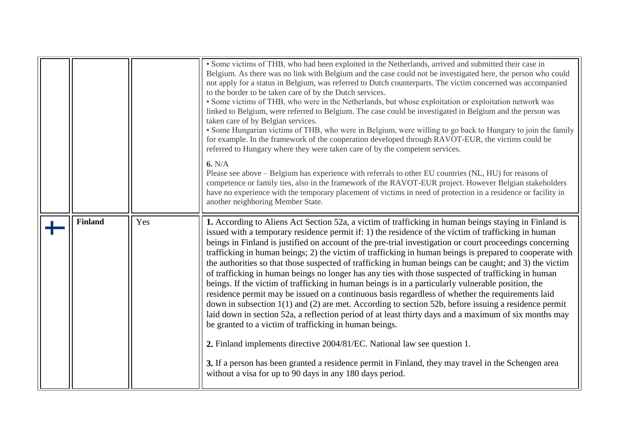<span id="page-5-0"></span>

|                |     | • Some victims of THB, who had been exploited in the Netherlands, arrived and submitted their case in<br>Belgium. As there was no link with Belgium and the case could not be investigated here, the person who could<br>not apply for a status in Belgium, was referred to Dutch counterparts. The victim concerned was accompanied<br>to the border to be taken care of by the Dutch services.<br>• Some victims of THB, who were in the Netherlands, but whose exploitation or exploitation network was<br>linked to Belgium, were referred to Belgium. The case could be investigated in Belgium and the person was<br>taken care of by Belgian services.<br>• Some Hungarian victims of THB, who were in Belgium, were willing to go back to Hungary to join the family<br>for example. In the framework of the cooperation developed through RAVOT-EUR, the victims could be<br>referred to Hungary where they were taken care of by the competent services.<br>6. N/A<br>Please see above – Belgium has experience with referrals to other EU countries (NL, HU) for reasons of<br>competence or family ties, also in the framework of the RAVOT-EUR project. However Belgian stakeholders<br>have no experience with the temporary placement of victims in need of protection in a residence or facility in<br>another neighboring Member State.                                   |
|----------------|-----|--------------------------------------------------------------------------------------------------------------------------------------------------------------------------------------------------------------------------------------------------------------------------------------------------------------------------------------------------------------------------------------------------------------------------------------------------------------------------------------------------------------------------------------------------------------------------------------------------------------------------------------------------------------------------------------------------------------------------------------------------------------------------------------------------------------------------------------------------------------------------------------------------------------------------------------------------------------------------------------------------------------------------------------------------------------------------------------------------------------------------------------------------------------------------------------------------------------------------------------------------------------------------------------------------------------------------------------------------------------------------------------------|
| <b>Finland</b> | Yes | 1. According to Aliens Act Section 52a, a victim of trafficking in human beings staying in Finland is<br>issued with a temporary residence permit if: 1) the residence of the victim of trafficking in human<br>beings in Finland is justified on account of the pre-trial investigation or court proceedings concerning<br>trafficking in human beings; 2) the victim of trafficking in human beings is prepared to cooperate with<br>the authorities so that those suspected of trafficking in human beings can be caught; and 3) the victim<br>of trafficking in human beings no longer has any ties with those suspected of trafficking in human<br>beings. If the victim of trafficking in human beings is in a particularly vulnerable position, the<br>residence permit may be issued on a continuous basis regardless of whether the requirements laid<br>down in subsection $1(1)$ and (2) are met. According to section 52b, before issuing a residence permit<br>laid down in section 52a, a reflection period of at least thirty days and a maximum of six months may<br>be granted to a victim of trafficking in human beings.<br>2. Finland implements directive 2004/81/EC. National law see question 1.<br>3. If a person has been granted a residence permit in Finland, they may travel in the Schengen area<br>without a visa for up to 90 days in any 180 days period. |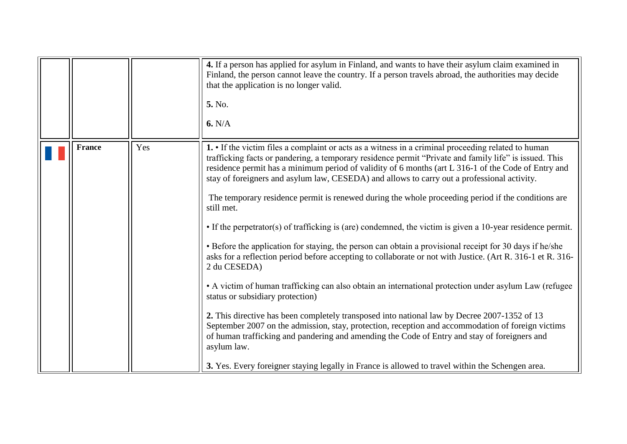<span id="page-6-0"></span>

|               |     | 4. If a person has applied for asylum in Finland, and wants to have their asylum claim examined in<br>Finland, the person cannot leave the country. If a person travels abroad, the authorities may decide<br>that the application is no longer valid.<br>5. No.<br>6. N/A                                                                                                                                                                                                                                                                                                                                                                                                                                                                                                                                                                                                                                                                                                                                                                                                                                                                                                                                                                                                                                                                                                                                                                                         |
|---------------|-----|--------------------------------------------------------------------------------------------------------------------------------------------------------------------------------------------------------------------------------------------------------------------------------------------------------------------------------------------------------------------------------------------------------------------------------------------------------------------------------------------------------------------------------------------------------------------------------------------------------------------------------------------------------------------------------------------------------------------------------------------------------------------------------------------------------------------------------------------------------------------------------------------------------------------------------------------------------------------------------------------------------------------------------------------------------------------------------------------------------------------------------------------------------------------------------------------------------------------------------------------------------------------------------------------------------------------------------------------------------------------------------------------------------------------------------------------------------------------|
| <b>France</b> | Yes | 1. If the victim files a complaint or acts as a witness in a criminal proceeding related to human<br>trafficking facts or pandering, a temporary residence permit "Private and family life" is issued. This<br>residence permit has a minimum period of validity of 6 months (art L 316-1 of the Code of Entry and<br>stay of foreigners and asylum law, CESEDA) and allows to carry out a professional activity.<br>The temporary residence permit is renewed during the whole proceeding period if the conditions are<br>still met.<br>• If the perpetrator(s) of trafficking is (are) condemned, the victim is given a 10-year residence permit.<br>• Before the application for staying, the person can obtain a provisional receipt for 30 days if he/she<br>asks for a reflection period before accepting to collaborate or not with Justice. (Art R. 316-1 et R. 316-<br>2 du CESEDA)<br>• A victim of human trafficking can also obtain an international protection under asylum Law (refugee)<br>status or subsidiary protection)<br>2. This directive has been completely transposed into national law by Decree 2007-1352 of 13<br>September 2007 on the admission, stay, protection, reception and accommodation of foreign victims<br>of human trafficking and pandering and amending the Code of Entry and stay of foreigners and<br>asylum law.<br>3. Yes. Every foreigner staying legally in France is allowed to travel within the Schengen area. |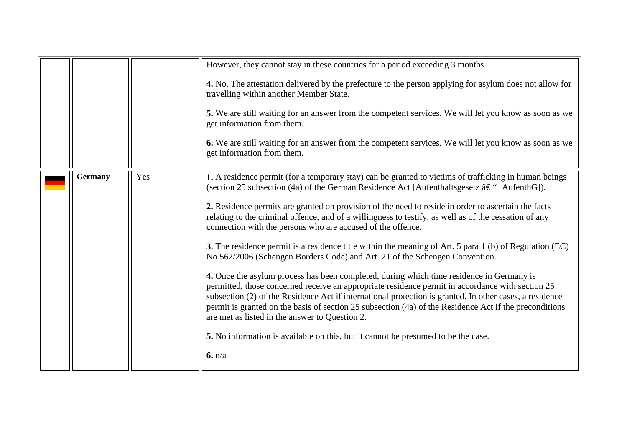<span id="page-7-0"></span>

|                |     | However, they cannot stay in these countries for a period exceeding 3 months.<br>4. No. The attestation delivered by the prefecture to the person applying for asylum does not allow for<br>travelling within another Member State.<br>5. We are still waiting for an answer from the competent services. We will let you know as soon as we                                                                                                                                                                                                                                                                                                                                                                                                                                                                                                                                                                                                                                                                                                                                                                                                                                                                                                            |
|----------------|-----|---------------------------------------------------------------------------------------------------------------------------------------------------------------------------------------------------------------------------------------------------------------------------------------------------------------------------------------------------------------------------------------------------------------------------------------------------------------------------------------------------------------------------------------------------------------------------------------------------------------------------------------------------------------------------------------------------------------------------------------------------------------------------------------------------------------------------------------------------------------------------------------------------------------------------------------------------------------------------------------------------------------------------------------------------------------------------------------------------------------------------------------------------------------------------------------------------------------------------------------------------------|
|                |     | get information from them.<br>6. We are still waiting for an answer from the competent services. We will let you know as soon as we<br>get information from them.                                                                                                                                                                                                                                                                                                                                                                                                                                                                                                                                                                                                                                                                                                                                                                                                                                                                                                                                                                                                                                                                                       |
| <b>Germany</b> | Yes | 1. A residence permit (for a temporary stay) can be granted to victims of trafficking in human beings<br>(section 25 subsection (4a) of the German Residence Act [Aufenthaltsgesetz – AufenthG]).<br>2. Residence permits are granted on provision of the need to reside in order to ascertain the facts<br>relating to the criminal offence, and of a willingness to testify, as well as of the cessation of any<br>connection with the persons who are accused of the offence.<br><b>3.</b> The residence permit is a residence title within the meaning of Art. 5 para 1 (b) of Regulation (EC)<br>No 562/2006 (Schengen Borders Code) and Art. 21 of the Schengen Convention.<br>4. Once the asylum process has been completed, during which time residence in Germany is<br>permitted, those concerned receive an appropriate residence permit in accordance with section 25<br>subsection (2) of the Residence Act if international protection is granted. In other cases, a residence<br>permit is granted on the basis of section 25 subsection (4a) of the Residence Act if the preconditions<br>are met as listed in the answer to Question 2.<br>5. No information is available on this, but it cannot be presumed to be the case.<br>6. n/a |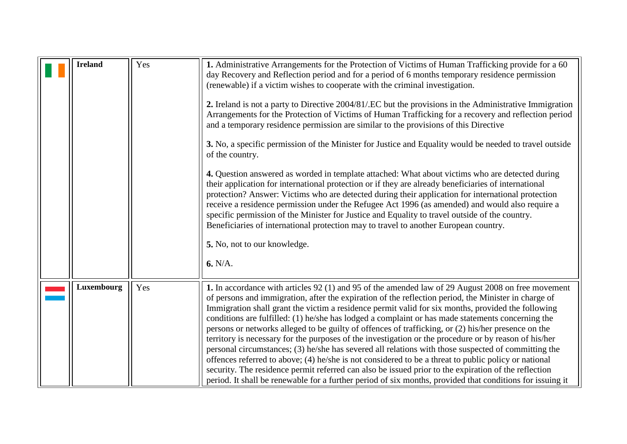<span id="page-8-1"></span><span id="page-8-0"></span>

| <b>Ireland</b> | Yes | 1. Administrative Arrangements for the Protection of Victims of Human Trafficking provide for a 60<br>day Recovery and Reflection period and for a period of 6 months temporary residence permission<br>(renewable) if a victim wishes to cooperate with the criminal investigation.<br>2. Ireland is not a party to Directive 2004/81/.EC but the provisions in the Administrative Immigration<br>Arrangements for the Protection of Victims of Human Trafficking for a recovery and reflection period<br>and a temporary residence permission are similar to the provisions of this Directive<br>3. No, a specific permission of the Minister for Justice and Equality would be needed to travel outside<br>of the country.<br>4. Question answered as worded in template attached: What about victims who are detected during<br>their application for international protection or if they are already beneficiaries of international<br>protection? Answer: Victims who are detected during their application for international protection<br>receive a residence permission under the Refugee Act 1996 (as amended) and would also require a<br>specific permission of the Minister for Justice and Equality to travel outside of the country.<br>Beneficiaries of international protection may to travel to another European country.<br>5. No, not to our knowledge.<br>6. N/A. |
|----------------|-----|----------------------------------------------------------------------------------------------------------------------------------------------------------------------------------------------------------------------------------------------------------------------------------------------------------------------------------------------------------------------------------------------------------------------------------------------------------------------------------------------------------------------------------------------------------------------------------------------------------------------------------------------------------------------------------------------------------------------------------------------------------------------------------------------------------------------------------------------------------------------------------------------------------------------------------------------------------------------------------------------------------------------------------------------------------------------------------------------------------------------------------------------------------------------------------------------------------------------------------------------------------------------------------------------------------------------------------------------------------------------------------------|
| Luxembourg     | Yes | 1. In accordance with articles 92 (1) and 95 of the amended law of 29 August 2008 on free movement<br>of persons and immigration, after the expiration of the reflection period, the Minister in charge of<br>Immigration shall grant the victim a residence permit valid for six months, provided the following<br>conditions are fulfilled: (1) he/she has lodged a complaint or has made statements concerning the                                                                                                                                                                                                                                                                                                                                                                                                                                                                                                                                                                                                                                                                                                                                                                                                                                                                                                                                                                  |
|                |     | persons or networks alleged to be guilty of offences of trafficking, or (2) his/her presence on the<br>territory is necessary for the purposes of the investigation or the procedure or by reason of his/her<br>personal circumstances; (3) he/she has severed all relations with those suspected of committing the<br>offences referred to above; (4) he/she is not considered to be a threat to public policy or national<br>security. The residence permit referred can also be issued prior to the expiration of the reflection<br>period. It shall be renewable for a further period of six months, provided that conditions for issuing it                                                                                                                                                                                                                                                                                                                                                                                                                                                                                                                                                                                                                                                                                                                                       |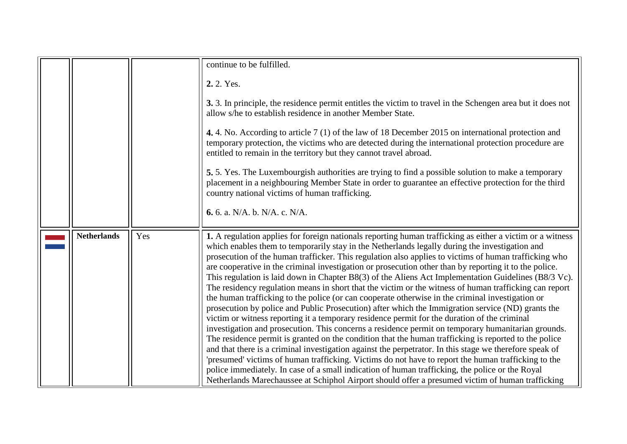<span id="page-9-0"></span>

|                    |     | continue to be fulfilled.                                                                                                                                                                                                                                                                                                                                                                                                                                                                                                                                                                                                                                                                                                                                                                                                                                                                                                                                                                                                                                                                                                                                                                                                                                                                                                                                                                                                                                                                                                                                                                         |
|--------------------|-----|---------------------------------------------------------------------------------------------------------------------------------------------------------------------------------------------------------------------------------------------------------------------------------------------------------------------------------------------------------------------------------------------------------------------------------------------------------------------------------------------------------------------------------------------------------------------------------------------------------------------------------------------------------------------------------------------------------------------------------------------------------------------------------------------------------------------------------------------------------------------------------------------------------------------------------------------------------------------------------------------------------------------------------------------------------------------------------------------------------------------------------------------------------------------------------------------------------------------------------------------------------------------------------------------------------------------------------------------------------------------------------------------------------------------------------------------------------------------------------------------------------------------------------------------------------------------------------------------------|
|                    |     | 2.2. Yes.                                                                                                                                                                                                                                                                                                                                                                                                                                                                                                                                                                                                                                                                                                                                                                                                                                                                                                                                                                                                                                                                                                                                                                                                                                                                                                                                                                                                                                                                                                                                                                                         |
|                    |     | 3. 3. In principle, the residence permit entitles the victim to travel in the Schengen area but it does not<br>allow s/he to establish residence in another Member State.                                                                                                                                                                                                                                                                                                                                                                                                                                                                                                                                                                                                                                                                                                                                                                                                                                                                                                                                                                                                                                                                                                                                                                                                                                                                                                                                                                                                                         |
|                    |     | 4.4. No. According to article 7 (1) of the law of 18 December 2015 on international protection and<br>temporary protection, the victims who are detected during the international protection procedure are<br>entitled to remain in the territory but they cannot travel abroad.                                                                                                                                                                                                                                                                                                                                                                                                                                                                                                                                                                                                                                                                                                                                                                                                                                                                                                                                                                                                                                                                                                                                                                                                                                                                                                                  |
|                    |     | 5.5. Yes. The Luxembourgish authorities are trying to find a possible solution to make a temporary<br>placement in a neighbouring Member State in order to guarantee an effective protection for the third<br>country national victims of human trafficking.                                                                                                                                                                                                                                                                                                                                                                                                                                                                                                                                                                                                                                                                                                                                                                                                                                                                                                                                                                                                                                                                                                                                                                                                                                                                                                                                      |
|                    |     | 6. 6. a. N/A. b. N/A. c. N/A.                                                                                                                                                                                                                                                                                                                                                                                                                                                                                                                                                                                                                                                                                                                                                                                                                                                                                                                                                                                                                                                                                                                                                                                                                                                                                                                                                                                                                                                                                                                                                                     |
| <b>Netherlands</b> | Yes | 1. A regulation applies for foreign nationals reporting human trafficking as either a victim or a witness<br>which enables them to temporarily stay in the Netherlands legally during the investigation and<br>prosecution of the human trafficker. This regulation also applies to victims of human trafficking who<br>are cooperative in the criminal investigation or prosecution other than by reporting it to the police.<br>This regulation is laid down in Chapter B8(3) of the Aliens Act Implementation Guidelines (B8/3 Vc).<br>The residency regulation means in short that the victim or the witness of human trafficking can report<br>the human trafficking to the police (or can cooperate otherwise in the criminal investigation or<br>prosecution by police and Public Prosecution) after which the Immigration service (ND) grants the<br>victim or witness reporting it a temporary residence permit for the duration of the criminal<br>investigation and prosecution. This concerns a residence permit on temporary humanitarian grounds.<br>The residence permit is granted on the condition that the human trafficking is reported to the police<br>and that there is a criminal investigation against the perpetrator. In this stage we therefore speak of<br>'presumed' victims of human trafficking. Victims do not have to report the human trafficking to the<br>police immediately. In case of a small indication of human trafficking, the police or the Royal<br>Netherlands Marechaussee at Schiphol Airport should offer a presumed victim of human trafficking |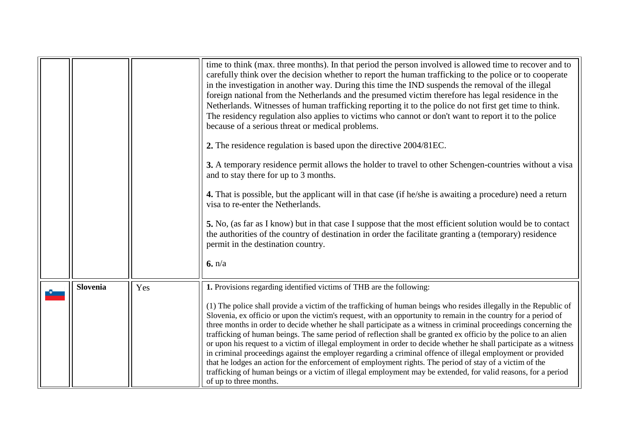<span id="page-10-0"></span>

|          |     | time to think (max. three months). In that period the person involved is allowed time to recover and to<br>carefully think over the decision whether to report the human trafficking to the police or to cooperate<br>in the investigation in another way. During this time the IND suspends the removal of the illegal<br>foreign national from the Netherlands and the presumed victim therefore has legal residence in the<br>Netherlands. Witnesses of human trafficking reporting it to the police do not first get time to think.<br>The residency regulation also applies to victims who cannot or don't want to report it to the police<br>because of a serious threat or medical problems.                                                                                                                                                                                                                                                                       |
|----------|-----|---------------------------------------------------------------------------------------------------------------------------------------------------------------------------------------------------------------------------------------------------------------------------------------------------------------------------------------------------------------------------------------------------------------------------------------------------------------------------------------------------------------------------------------------------------------------------------------------------------------------------------------------------------------------------------------------------------------------------------------------------------------------------------------------------------------------------------------------------------------------------------------------------------------------------------------------------------------------------|
|          |     | 2. The residence regulation is based upon the directive 2004/81EC.                                                                                                                                                                                                                                                                                                                                                                                                                                                                                                                                                                                                                                                                                                                                                                                                                                                                                                        |
|          |     | 3. A temporary residence permit allows the holder to travel to other Schengen-countries without a visa<br>and to stay there for up to 3 months.                                                                                                                                                                                                                                                                                                                                                                                                                                                                                                                                                                                                                                                                                                                                                                                                                           |
|          |     | 4. That is possible, but the applicant will in that case (if he/she is awaiting a procedure) need a return<br>visa to re-enter the Netherlands.                                                                                                                                                                                                                                                                                                                                                                                                                                                                                                                                                                                                                                                                                                                                                                                                                           |
|          |     | 5. No, (as far as I know) but in that case I suppose that the most efficient solution would be to contact<br>the authorities of the country of destination in order the facilitate granting a (temporary) residence<br>permit in the destination country.                                                                                                                                                                                                                                                                                                                                                                                                                                                                                                                                                                                                                                                                                                                 |
|          |     | 6. n/a                                                                                                                                                                                                                                                                                                                                                                                                                                                                                                                                                                                                                                                                                                                                                                                                                                                                                                                                                                    |
| Slovenia | Yes | 1. Provisions regarding identified victims of THB are the following:                                                                                                                                                                                                                                                                                                                                                                                                                                                                                                                                                                                                                                                                                                                                                                                                                                                                                                      |
|          |     | (1) The police shall provide a victim of the trafficking of human beings who resides illegally in the Republic of<br>Slovenia, ex officio or upon the victim's request, with an opportunity to remain in the country for a period of<br>three months in order to decide whether he shall participate as a witness in criminal proceedings concerning the<br>trafficking of human beings. The same period of reflection shall be granted ex officio by the police to an alien<br>or upon his request to a victim of illegal employment in order to decide whether he shall participate as a witness<br>in criminal proceedings against the employer regarding a criminal offence of illegal employment or provided<br>that he lodges an action for the enforcement of employment rights. The period of stay of a victim of the<br>trafficking of human beings or a victim of illegal employment may be extended, for valid reasons, for a period<br>of up to three months. |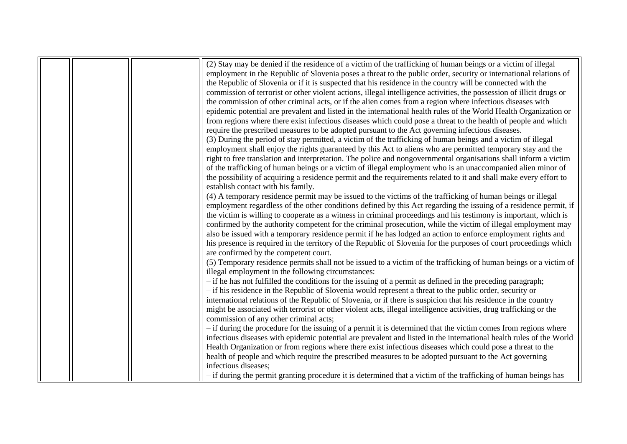|  | (2) Stay may be denied if the residence of a victim of the trafficking of human beings or a victim of illegal         |
|--|-----------------------------------------------------------------------------------------------------------------------|
|  | employment in the Republic of Slovenia poses a threat to the public order, security or international relations of     |
|  | the Republic of Slovenia or if it is suspected that his residence in the country will be connected with the           |
|  | commission of terrorist or other violent actions, illegal intelligence activities, the possession of illicit drugs or |
|  | the commission of other criminal acts, or if the alien comes from a region where infectious diseases with             |
|  | epidemic potential are prevalent and listed in the international health rules of the World Health Organization or     |
|  | from regions where there exist infectious diseases which could pose a threat to the health of people and which        |
|  | require the prescribed measures to be adopted pursuant to the Act governing infectious diseases.                      |
|  | (3) During the period of stay permitted, a victim of the trafficking of human beings and a victim of illegal          |
|  | employment shall enjoy the rights guaranteed by this Act to aliens who are permitted temporary stay and the           |
|  | right to free translation and interpretation. The police and nongovernmental organisations shall inform a victim      |
|  | of the trafficking of human beings or a victim of illegal employment who is an unaccompanied alien minor of           |
|  | the possibility of acquiring a residence permit and the requirements related to it and shall make every effort to     |
|  | establish contact with his family.                                                                                    |
|  | (4) A temporary residence permit may be issued to the victims of the trafficking of human beings or illegal           |
|  | employment regardless of the other conditions defined by this Act regarding the issuing of a residence permit, if     |
|  | the victim is willing to cooperate as a witness in criminal proceedings and his testimony is important, which is      |
|  | confirmed by the authority competent for the criminal prosecution, while the victim of illegal employment may         |
|  | also be issued with a temporary residence permit if he has lodged an action to enforce employment rights and          |
|  | his presence is required in the territory of the Republic of Slovenia for the purposes of court proceedings which     |
|  | are confirmed by the competent court.                                                                                 |
|  | (5) Temporary residence permits shall not be issued to a victim of the trafficking of human beings or a victim of     |
|  | illegal employment in the following circumstances:                                                                    |
|  | - if he has not fulfilled the conditions for the issuing of a permit as defined in the preceding paragraph;           |
|  | - if his residence in the Republic of Slovenia would represent a threat to the public order, security or              |
|  | international relations of the Republic of Slovenia, or if there is suspicion that his residence in the country       |
|  | might be associated with terrorist or other violent acts, illegal intelligence activities, drug trafficking or the    |
|  | commission of any other criminal acts;                                                                                |
|  | - if during the procedure for the issuing of a permit it is determined that the victim comes from regions where       |
|  | infectious diseases with epidemic potential are prevalent and listed in the international health rules of the World   |
|  | Health Organization or from regions where there exist infectious diseases which could pose a threat to the            |
|  | health of people and which require the prescribed measures to be adopted pursuant to the Act governing                |
|  | infectious diseases;                                                                                                  |
|  | - if during the permit granting procedure it is determined that a victim of the trafficking of human beings has       |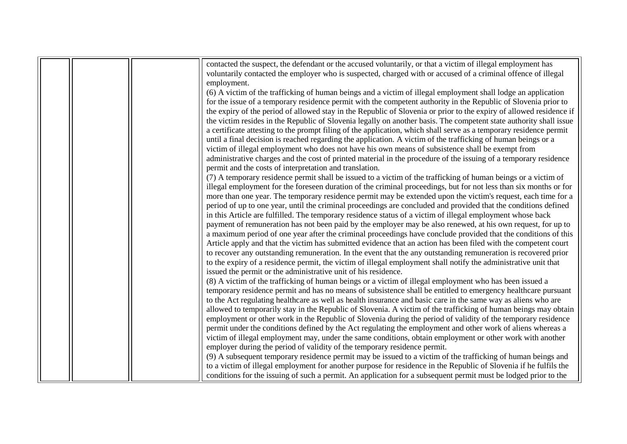|  | contacted the suspect, the defendant or the accused voluntarily, or that a victim of illegal employment has         |
|--|---------------------------------------------------------------------------------------------------------------------|
|  | voluntarily contacted the employer who is suspected, charged with or accused of a criminal offence of illegal       |
|  | employment.                                                                                                         |
|  | (6) A victim of the trafficking of human beings and a victim of illegal employment shall lodge an application       |
|  | for the issue of a temporary residence permit with the competent authority in the Republic of Slovenia prior to     |
|  | the expiry of the period of allowed stay in the Republic of Slovenia or prior to the expiry of allowed residence if |
|  | the victim resides in the Republic of Slovenia legally on another basis. The competent state authority shall issue  |
|  | a certificate attesting to the prompt filing of the application, which shall serve as a temporary residence permit  |
|  | until a final decision is reached regarding the application. A victim of the trafficking of human beings or a       |
|  | victim of illegal employment who does not have his own means of subsistence shall be exempt from                    |
|  | administrative charges and the cost of printed material in the procedure of the issuing of a temporary residence    |
|  | permit and the costs of interpretation and translation.                                                             |
|  | (7) A temporary residence permit shall be issued to a victim of the trafficking of human beings or a victim of      |
|  | illegal employment for the foreseen duration of the criminal proceedings, but for not less than six months or for   |
|  | more than one year. The temporary residence permit may be extended upon the victim's request, each time for a       |
|  | period of up to one year, until the criminal proceedings are concluded and provided that the conditions defined     |
|  | in this Article are fulfilled. The temporary residence status of a victim of illegal employment whose back          |
|  | payment of remuneration has not been paid by the employer may be also renewed, at his own request, for up to        |
|  | a maximum period of one year after the criminal proceedings have conclude provided that the conditions of this      |
|  | Article apply and that the victim has submitted evidence that an action has been filed with the competent court     |
|  | to recover any outstanding remuneration. In the event that the any outstanding remuneration is recovered prior      |
|  | to the expiry of a residence permit, the victim of illegal employment shall notify the administrative unit that     |
|  | issued the permit or the administrative unit of his residence.                                                      |
|  | (8) A victim of the trafficking of human beings or a victim of illegal employment who has been issued a             |
|  | temporary residence permit and has no means of subsistence shall be entitled to emergency healthcare pursuant       |
|  | to the Act regulating healthcare as well as health insurance and basic care in the same way as aliens who are       |
|  | allowed to temporarily stay in the Republic of Slovenia. A victim of the trafficking of human beings may obtain     |
|  | employment or other work in the Republic of Slovenia during the period of validity of the temporary residence       |
|  | permit under the conditions defined by the Act regulating the employment and other work of aliens whereas a         |
|  | victim of illegal employment may, under the same conditions, obtain employment or other work with another           |
|  | employer during the period of validity of the temporary residence permit.                                           |
|  | (9) A subsequent temporary residence permit may be issued to a victim of the trafficking of human beings and        |
|  | to a victim of illegal employment for another purpose for residence in the Republic of Slovenia if he fulfils the   |
|  | conditions for the issuing of such a permit. An application for a subsequent permit must be lodged prior to the     |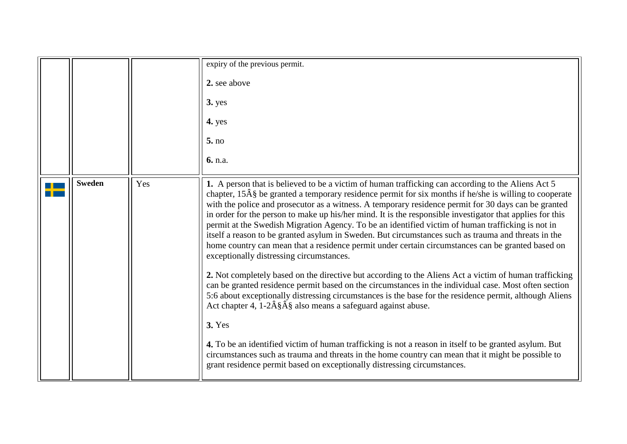<span id="page-13-0"></span>

|               |     | expiry of the previous permit.<br>2. see above                                                                                                                                                                                                                                                                                                                                                                                                                                                                                                                                                                                                                                                                                                                                                                                                                                                                                                                                                                                                                                                                                                                                                                                                                                                                                                                                                                                                                                                                                                    |
|---------------|-----|---------------------------------------------------------------------------------------------------------------------------------------------------------------------------------------------------------------------------------------------------------------------------------------------------------------------------------------------------------------------------------------------------------------------------------------------------------------------------------------------------------------------------------------------------------------------------------------------------------------------------------------------------------------------------------------------------------------------------------------------------------------------------------------------------------------------------------------------------------------------------------------------------------------------------------------------------------------------------------------------------------------------------------------------------------------------------------------------------------------------------------------------------------------------------------------------------------------------------------------------------------------------------------------------------------------------------------------------------------------------------------------------------------------------------------------------------------------------------------------------------------------------------------------------------|
|               |     | <b>3.</b> yes<br>4. yes                                                                                                                                                                                                                                                                                                                                                                                                                                                                                                                                                                                                                                                                                                                                                                                                                                                                                                                                                                                                                                                                                                                                                                                                                                                                                                                                                                                                                                                                                                                           |
|               |     | 5. no                                                                                                                                                                                                                                                                                                                                                                                                                                                                                                                                                                                                                                                                                                                                                                                                                                                                                                                                                                                                                                                                                                                                                                                                                                                                                                                                                                                                                                                                                                                                             |
|               |     | 6. n.a.                                                                                                                                                                                                                                                                                                                                                                                                                                                                                                                                                                                                                                                                                                                                                                                                                                                                                                                                                                                                                                                                                                                                                                                                                                                                                                                                                                                                                                                                                                                                           |
| <b>Sweden</b> | Yes | 1. A person that is believed to be a victim of human trafficking can according to the Aliens Act 5<br>chapter, $15\hat{A}\hat{S}$ be granted a temporary residence permit for six months if he/she is willing to cooperate<br>with the police and prosecutor as a witness. A temporary residence permit for 30 days can be granted<br>in order for the person to make up his/her mind. It is the responsible investigator that applies for this<br>permit at the Swedish Migration Agency. To be an identified victim of human trafficking is not in<br>itself a reason to be granted asylum in Sweden. But circumstances such as trauma and threats in the<br>home country can mean that a residence permit under certain circumstances can be granted based on<br>exceptionally distressing circumstances.<br>2. Not completely based on the directive but according to the Aliens Act a victim of human trafficking<br>can be granted residence permit based on the circumstances in the individual case. Most often section<br>5:6 about exceptionally distressing circumstances is the base for the residence permit, although Aliens<br>Act chapter 4, $1-2\hat{A}\hat{S}\hat{A}\hat{S}$ also means a safeguard against abuse.<br><b>3. Yes</b><br>4. To be an identified victim of human trafficking is not a reason in itself to be granted asylum. But<br>circumstances such as trauma and threats in the home country can mean that it might be possible to<br>grant residence permit based on exceptionally distressing circumstances. |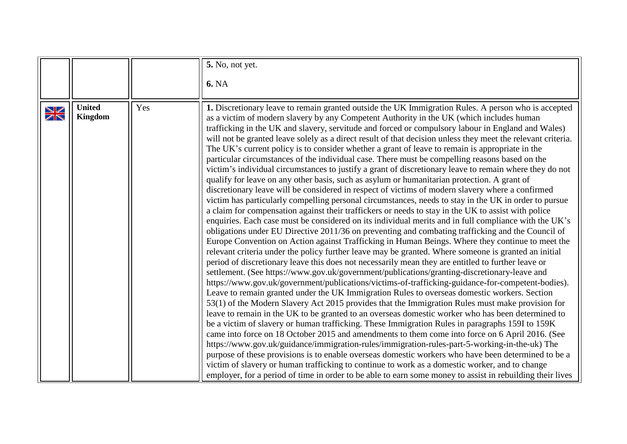<span id="page-14-0"></span>

|             |                                 |     | <b>5.</b> No, not yet.                                                                                                                                                                                                                                                                                                                                                                                                                                                                                                                                                                                                                                                                                                                                                                                                                                                                                                                                                                                                                                                                                                                                                                                                                                                                                                                                                                                                                                                                                                                                                                                                                                                                                                                                                                                                                                                                                                                                                                                                                                                                                                                                                                                                                                                                                                                                                                                                                                                                                                                                                                                                                                                                                                                                                                                                              |
|-------------|---------------------------------|-----|-------------------------------------------------------------------------------------------------------------------------------------------------------------------------------------------------------------------------------------------------------------------------------------------------------------------------------------------------------------------------------------------------------------------------------------------------------------------------------------------------------------------------------------------------------------------------------------------------------------------------------------------------------------------------------------------------------------------------------------------------------------------------------------------------------------------------------------------------------------------------------------------------------------------------------------------------------------------------------------------------------------------------------------------------------------------------------------------------------------------------------------------------------------------------------------------------------------------------------------------------------------------------------------------------------------------------------------------------------------------------------------------------------------------------------------------------------------------------------------------------------------------------------------------------------------------------------------------------------------------------------------------------------------------------------------------------------------------------------------------------------------------------------------------------------------------------------------------------------------------------------------------------------------------------------------------------------------------------------------------------------------------------------------------------------------------------------------------------------------------------------------------------------------------------------------------------------------------------------------------------------------------------------------------------------------------------------------------------------------------------------------------------------------------------------------------------------------------------------------------------------------------------------------------------------------------------------------------------------------------------------------------------------------------------------------------------------------------------------------------------------------------------------------------------------------------------------------|
|             |                                 |     | <b>6. NA</b>                                                                                                                                                                                                                                                                                                                                                                                                                                                                                                                                                                                                                                                                                                                                                                                                                                                                                                                                                                                                                                                                                                                                                                                                                                                                                                                                                                                                                                                                                                                                                                                                                                                                                                                                                                                                                                                                                                                                                                                                                                                                                                                                                                                                                                                                                                                                                                                                                                                                                                                                                                                                                                                                                                                                                                                                                        |
| $\geqslant$ | <b>United</b><br><b>Kingdom</b> | Yes | 1. Discretionary leave to remain granted outside the UK Immigration Rules. A person who is accepted<br>as a victim of modern slavery by any Competent Authority in the UK (which includes human<br>trafficking in the UK and slavery, servitude and forced or compulsory labour in England and Wales)<br>will not be granted leave solely as a direct result of that decision unless they meet the relevant criteria.<br>The UK's current policy is to consider whether a grant of leave to remain is appropriate in the<br>particular circumstances of the individual case. There must be compelling reasons based on the<br>victim's individual circumstances to justify a grant of discretionary leave to remain where they do not<br>qualify for leave on any other basis, such as asylum or humanitarian protection. A grant of<br>discretionary leave will be considered in respect of victims of modern slavery where a confirmed<br>victim has particularly compelling personal circumstances, needs to stay in the UK in order to pursue<br>a claim for compensation against their traffickers or needs to stay in the UK to assist with police<br>enquiries. Each case must be considered on its individual merits and in full compliance with the UK's<br>obligations under EU Directive 2011/36 on preventing and combating trafficking and the Council of<br>Europe Convention on Action against Trafficking in Human Beings. Where they continue to meet the<br>relevant criteria under the policy further leave may be granted. Where someone is granted an initial<br>period of discretionary leave this does not necessarily mean they are entitled to further leave or<br>settlement. (See https://www.gov.uk/government/publications/granting-discretionary-leave and<br>https://www.gov.uk/government/publications/victims-of-trafficking-guidance-for-competent-bodies).<br>Leave to remain granted under the UK Immigration Rules to overseas domestic workers. Section<br>53(1) of the Modern Slavery Act 2015 provides that the Immigration Rules must make provision for<br>leave to remain in the UK to be granted to an overseas domestic worker who has been determined to<br>be a victim of slavery or human trafficking. These Immigration Rules in paragraphs 159I to 159K<br>came into force on 18 October 2015 and amendments to them come into force on 6 April 2016. (See<br>https://www.gov.uk/guidance/immigration-rules/immigration-rules-part-5-working-in-the-uk) The<br>purpose of these provisions is to enable overseas domestic workers who have been determined to be a<br>victim of slavery or human trafficking to continue to work as a domestic worker, and to change<br>employer, for a period of time in order to be able to earn some money to assist in rebuilding their lives |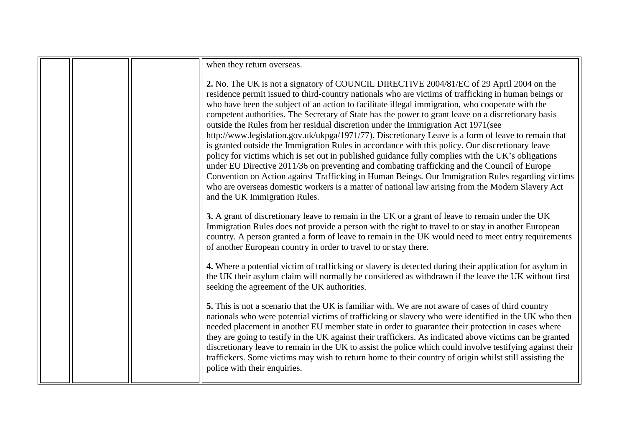|  | when they return overseas.                                                                                                                                                                                                                                                                                                                                                                                                                                                                                                                                                                                                                                                                                                                                                                                                                                                                                                                                                                                                                                                                                                                                   |
|--|--------------------------------------------------------------------------------------------------------------------------------------------------------------------------------------------------------------------------------------------------------------------------------------------------------------------------------------------------------------------------------------------------------------------------------------------------------------------------------------------------------------------------------------------------------------------------------------------------------------------------------------------------------------------------------------------------------------------------------------------------------------------------------------------------------------------------------------------------------------------------------------------------------------------------------------------------------------------------------------------------------------------------------------------------------------------------------------------------------------------------------------------------------------|
|  | 2. No. The UK is not a signatory of COUNCIL DIRECTIVE 2004/81/EC of 29 April 2004 on the<br>residence permit issued to third-country nationals who are victims of trafficking in human beings or<br>who have been the subject of an action to facilitate illegal immigration, who cooperate with the<br>competent authorities. The Secretary of State has the power to grant leave on a discretionary basis<br>outside the Rules from her residual discretion under the Immigration Act 1971(see<br>http://www.legislation.gov.uk/ukpga/1971/77). Discretionary Leave is a form of leave to remain that<br>is granted outside the Immigration Rules in accordance with this policy. Our discretionary leave<br>policy for victims which is set out in published guidance fully complies with the UK's obligations<br>under EU Directive 2011/36 on preventing and combating trafficking and the Council of Europe<br>Convention on Action against Trafficking in Human Beings. Our Immigration Rules regarding victims<br>who are overseas domestic workers is a matter of national law arising from the Modern Slavery Act<br>and the UK Immigration Rules. |
|  | 3. A grant of discretionary leave to remain in the UK or a grant of leave to remain under the UK<br>Immigration Rules does not provide a person with the right to travel to or stay in another European<br>country. A person granted a form of leave to remain in the UK would need to meet entry requirements<br>of another European country in order to travel to or stay there.                                                                                                                                                                                                                                                                                                                                                                                                                                                                                                                                                                                                                                                                                                                                                                           |
|  | 4. Where a potential victim of trafficking or slavery is detected during their application for asylum in<br>the UK their asylum claim will normally be considered as withdrawn if the leave the UK without first<br>seeking the agreement of the UK authorities.                                                                                                                                                                                                                                                                                                                                                                                                                                                                                                                                                                                                                                                                                                                                                                                                                                                                                             |
|  | 5. This is not a scenario that the UK is familiar with. We are not aware of cases of third country<br>nationals who were potential victims of trafficking or slavery who were identified in the UK who then<br>needed placement in another EU member state in order to guarantee their protection in cases where<br>they are going to testify in the UK against their traffickers. As indicated above victims can be granted<br>discretionary leave to remain in the UK to assist the police which could involve testifying against their<br>traffickers. Some victims may wish to return home to their country of origin whilst still assisting the<br>police with their enquiries.                                                                                                                                                                                                                                                                                                                                                                                                                                                                         |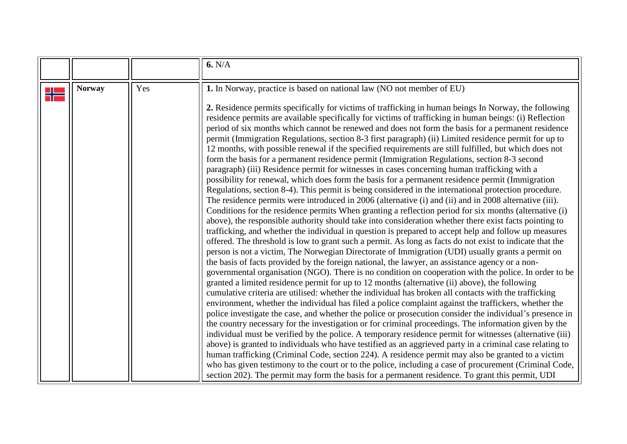<span id="page-16-0"></span>

|   |               |     | 6. N/A                                                                                                                                                                                                                                                                                                                                                                                                                                                                                                                                                                                                                                                                                                                                                                                                                                                                                                                                                                                                                                                                                                                                                                                                                                                                                                                                                                                                                                                                                                                                                                                                                                                                                                                                                                                                                                                                                                                                                                                                                                                                                                                                                                                                                                                                                                                                                                                                                                                                                                                                                                                                                                                                                                                                                                                                                                                                                                                                                                                   |
|---|---------------|-----|------------------------------------------------------------------------------------------------------------------------------------------------------------------------------------------------------------------------------------------------------------------------------------------------------------------------------------------------------------------------------------------------------------------------------------------------------------------------------------------------------------------------------------------------------------------------------------------------------------------------------------------------------------------------------------------------------------------------------------------------------------------------------------------------------------------------------------------------------------------------------------------------------------------------------------------------------------------------------------------------------------------------------------------------------------------------------------------------------------------------------------------------------------------------------------------------------------------------------------------------------------------------------------------------------------------------------------------------------------------------------------------------------------------------------------------------------------------------------------------------------------------------------------------------------------------------------------------------------------------------------------------------------------------------------------------------------------------------------------------------------------------------------------------------------------------------------------------------------------------------------------------------------------------------------------------------------------------------------------------------------------------------------------------------------------------------------------------------------------------------------------------------------------------------------------------------------------------------------------------------------------------------------------------------------------------------------------------------------------------------------------------------------------------------------------------------------------------------------------------------------------------------------------------------------------------------------------------------------------------------------------------------------------------------------------------------------------------------------------------------------------------------------------------------------------------------------------------------------------------------------------------------------------------------------------------------------------------------------------------|
| ₩ | <b>Norway</b> | Yes | 1. In Norway, practice is based on national law (NO not member of EU)<br>2. Residence permits specifically for victims of trafficking in human beings In Norway, the following<br>residence permits are available specifically for victims of trafficking in human beings: (i) Reflection<br>period of six months which cannot be renewed and does not form the basis for a permanent residence<br>permit (Immigration Regulations, section 8-3 first paragraph) (ii) Limited residence permit for up to<br>12 months, with possible renewal if the specified requirements are still fulfilled, but which does not<br>form the basis for a permanent residence permit (Immigration Regulations, section 8-3 second<br>paragraph) (iii) Residence permit for witnesses in cases concerning human trafficking with a<br>possibility for renewal, which does form the basis for a permanent residence permit (Immigration<br>Regulations, section 8-4). This permit is being considered in the international protection procedure.<br>The residence permits were introduced in 2006 (alternative (i) and (ii) and in 2008 alternative (iii).<br>Conditions for the residence permits When granting a reflection period for six months (alternative (i)<br>above), the responsible authority should take into consideration whether there exist facts pointing to<br>trafficking, and whether the individual in question is prepared to accept help and follow up measures<br>offered. The threshold is low to grant such a permit. As long as facts do not exist to indicate that the<br>person is not a victim, The Norwegian Directorate of Immigration (UDI) usually grants a permit on<br>the basis of facts provided by the foreign national, the lawyer, an assistance agency or a non-<br>governmental organisation (NGO). There is no condition on cooperation with the police. In order to be<br>granted a limited residence permit for up to 12 months (alternative (ii) above), the following<br>cumulative criteria are utilised: whether the individual has broken all contacts with the trafficking<br>environment, whether the individual has filed a police complaint against the traffickers, whether the<br>police investigate the case, and whether the police or prosecution consider the individual's presence in<br>the country necessary for the investigation or for criminal proceedings. The information given by the<br>individual must be verified by the police. A temporary residence permit for witnesses (alternative (iii)<br>above) is granted to individuals who have testified as an aggrieved party in a criminal case relating to<br>human trafficking (Criminal Code, section 224). A residence permit may also be granted to a victim<br>who has given testimony to the court or to the police, including a case of procurement (Criminal Code,<br>section 202). The permit may form the basis for a permanent residence. To grant this permit, UDI |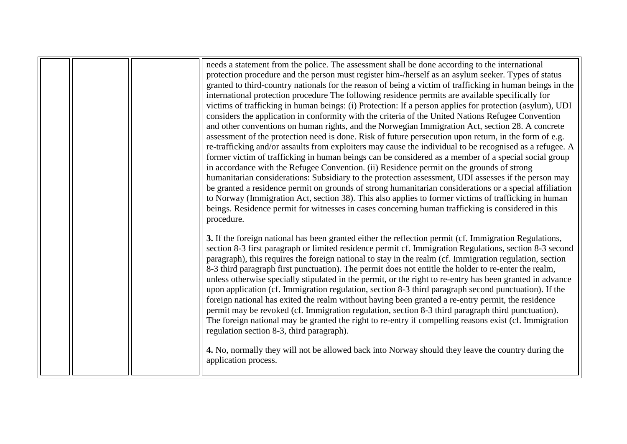| needs a statement from the police. The assessment shall be done according to the international<br>protection procedure and the person must register him-/herself as an asylum seeker. Types of status<br>granted to third-country nationals for the reason of being a victim of trafficking in human beings in the<br>international protection procedure The following residence permits are available specifically for<br>victims of trafficking in human beings: (i) Protection: If a person applies for protection (asylum), UDI<br>considers the application in conformity with the criteria of the United Nations Refugee Convention<br>and other conventions on human rights, and the Norwegian Immigration Act, section 28. A concrete<br>assessment of the protection need is done. Risk of future persecution upon return, in the form of e.g.<br>re-trafficking and/or assaults from exploiters may cause the individual to be recognised as a refugee. A<br>former victim of trafficking in human beings can be considered as a member of a special social group<br>in accordance with the Refugee Convention. (ii) Residence permit on the grounds of strong<br>humanitarian considerations: Subsidiary to the protection assessment, UDI assesses if the person may<br>be granted a residence permit on grounds of strong humanitarian considerations or a special affiliation<br>to Norway (Immigration Act, section 38). This also applies to former victims of trafficking in human<br>beings. Residence permit for witnesses in cases concerning human trafficking is considered in this<br>procedure. |
|-------------------------------------------------------------------------------------------------------------------------------------------------------------------------------------------------------------------------------------------------------------------------------------------------------------------------------------------------------------------------------------------------------------------------------------------------------------------------------------------------------------------------------------------------------------------------------------------------------------------------------------------------------------------------------------------------------------------------------------------------------------------------------------------------------------------------------------------------------------------------------------------------------------------------------------------------------------------------------------------------------------------------------------------------------------------------------------------------------------------------------------------------------------------------------------------------------------------------------------------------------------------------------------------------------------------------------------------------------------------------------------------------------------------------------------------------------------------------------------------------------------------------------------------------------------------------------------------------------------------------|
| 3. If the foreign national has been granted either the reflection permit (cf. Immigration Regulations,<br>section 8-3 first paragraph or limited residence permit cf. Immigration Regulations, section 8-3 second<br>paragraph), this requires the foreign national to stay in the realm (cf. Immigration regulation, section<br>8-3 third paragraph first punctuation). The permit does not entitle the holder to re-enter the realm,<br>unless otherwise specially stipulated in the permit, or the right to re-entry has been granted in advance<br>upon application (cf. Immigration regulation, section 8-3 third paragraph second punctuation). If the<br>foreign national has exited the realm without having been granted a re-entry permit, the residence<br>permit may be revoked (cf. Immigration regulation, section 8-3 third paragraph third punctuation).<br>The foreign national may be granted the right to re-entry if compelling reasons exist (cf. Immigration<br>regulation section 8-3, third paragraph).<br>4. No, normally they will not be allowed back into Norway should they leave the country during the<br>application process.                                                                                                                                                                                                                                                                                                                                                                                                                                                           |